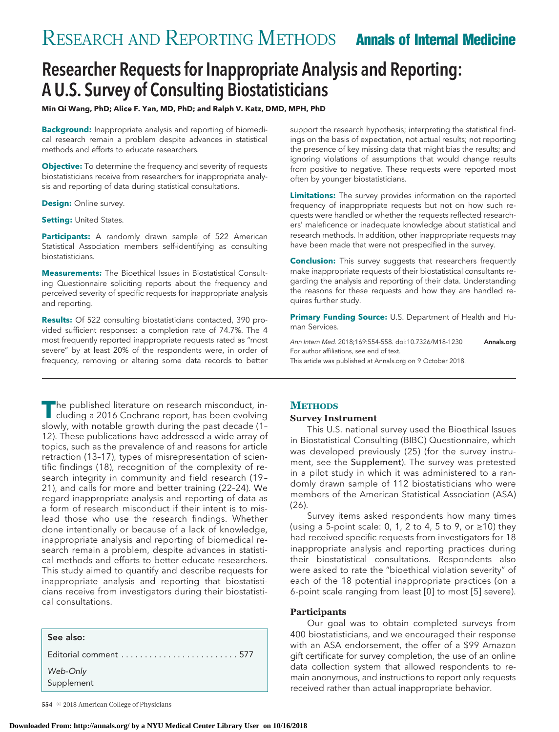# Researcher Requests for Inappropriate Analysis and Reporting: A U.S. Survey of Consulting Biostatisticians

**Min Qi Wang, PhD; Alice F. Yan, MD, PhD; and Ralph V. Katz, DMD, MPH, PhD**

**Background:** Inappropriate analysis and reporting of biomedical research remain a problem despite advances in statistical methods and efforts to educate researchers.

**Objective:** To determine the frequency and severity of requests biostatisticians receive from researchers for inappropriate analysis and reporting of data during statistical consultations.

**Design:** Online survey.

**Setting: United States.** 

**Participants:** A randomly drawn sample of 522 American Statistical Association members self-identifying as consulting biostatisticians.

**Measurements:** The Bioethical Issues in Biostatistical Consulting Questionnaire soliciting reports about the frequency and perceived severity of specific requests for inappropriate analysis and reporting.

**Results:** Of 522 consulting biostatisticians contacted, 390 provided sufficient responses: a completion rate of 74.7%. The 4 most frequently reported inappropriate requests rated as "most severe" by at least 20% of the respondents were, in order of frequency, removing or altering some data records to better

support the research hypothesis; interpreting the statistical findings on the basis of expectation, not actual results; not reporting the presence of key missing data that might bias the results; and ignoring violations of assumptions that would change results from positive to negative. These requests were reported most often by younger biostatisticians.

**Limitations:** The survey provides information on the reported frequency of inappropriate requests but not on how such requests were handled or whether the requests reflected researchers' maleficence or inadequate knowledge about statistical and research methods. In addition, other inappropriate requests may have been made that were not prespecified in the survey.

**Conclusion:** This survey suggests that researchers frequently make inappropriate requests of their biostatistical consultants regarding the analysis and reporting of their data. Understanding the reasons for these requests and how they are handled requires further study.

**Primary Funding Source:** U.S. Department of Health and Human Services.

Ann Intern Med. 2018;169:554-558. doi:10.7326/M18-1230 **[Annals.org](http://www.annals.org)** For author affiliations, see end of text. This article was published at [Annals.org](http://www.annals.org) on 9 October 2018.

**The published literature on research misconduct, in-**<br>cluding a 2016 Cochrane report, has been evolving slowly, with notable growth during the past decade (1– 12). These publications have addressed a wide array of topics, such as the prevalence of and reasons for article retraction (13–17), types of misrepresentation of scientific findings (18), recognition of the complexity of research integrity in community and field research (19 – 21), and calls for more and better training (22–24). We regard inappropriate analysis and reporting of data as a form of research misconduct if their intent is to mislead those who use the research findings. Whether done intentionally or because of a lack of knowledge, inappropriate analysis and reporting of biomedical research remain a problem, despite advances in statistical methods and efforts to better educate researchers. This study aimed to quantify and describe requests for inappropriate analysis and reporting that biostatisticians receive from investigators during their biostatistical consultations.

| See also:                                                                |  |
|--------------------------------------------------------------------------|--|
| Editorial comment $\ldots \ldots \ldots \ldots \ldots \ldots \ldots 577$ |  |
| Web-Only<br>Supplement                                                   |  |

# **METHODS**

#### **Survey Instrument**

This U.S. national survey used the Bioethical Issues in Biostatistical Consulting (BIBC) Questionnaire, which was developed previously (25) (for the survey instrument, see the Supplement). The survey was pretested in a pilot study in which it was administered to a randomly drawn sample of 112 biostatisticians who were members of the American Statistical Association (ASA) (26).

Survey items asked respondents how many times (using a 5-point scale: 0, 1, 2 to 4, 5 to 9, or ≥10) they had received specific requests from investigators for 18 inappropriate analysis and reporting practices during their biostatistical consultations. Respondents also were asked to rate the "bioethical violation severity" of each of the 18 potential inappropriate practices (on a 6-point scale ranging from least [0] to most [5] severe).

#### **Participants**

Our goal was to obtain completed surveys from 400 biostatisticians, and we encouraged their response with an ASA endorsement, the offer of a \$99 Amazon gift certificate for survey completion, the use of an online data collection system that allowed respondents to remain anonymous, and instructions to report only requests received rather than actual inappropriate behavior.

**<sup>554</sup>** © 2018 American College of Physicians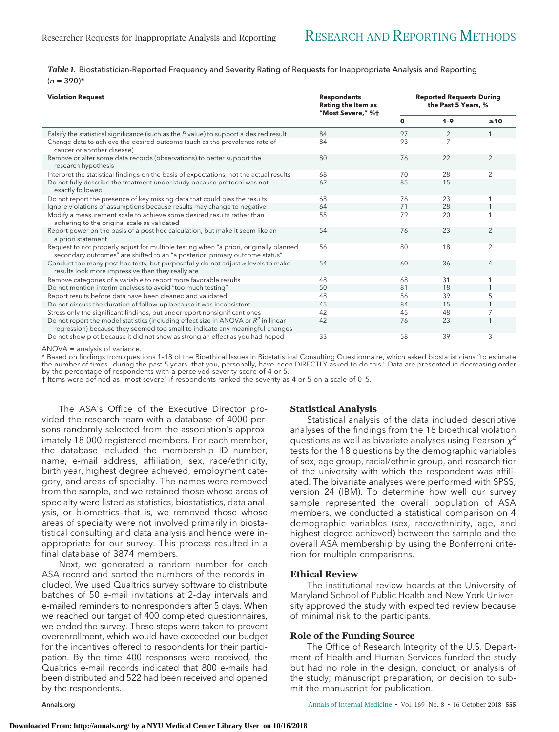*Table 1.* Biostatistician-Reported Frequency and Severity Rating of Requests for Inappropriate Analysis and Reporting  $(n = 390)^{*}$ 

| <b>Violation Request</b>                                                                                                                                              | <b>Respondents</b><br><b>Rating the Item as</b><br>"Most Severe," %+ | <b>Reported Requests During</b><br>the Past 5 Years, % |         |                |
|-----------------------------------------------------------------------------------------------------------------------------------------------------------------------|----------------------------------------------------------------------|--------------------------------------------------------|---------|----------------|
|                                                                                                                                                                       |                                                                      | 0                                                      | $1 - 9$ | $\geq 10$      |
| Falsify the statistical significance (such as the P value) to support a desired result                                                                                | 84                                                                   | 97                                                     | 2       |                |
| Change data to achieve the desired outcome (such as the prevalence rate of<br>cancer or another disease)                                                              | 84                                                                   | 93                                                     | 7       |                |
| Remove or alter some data records (observations) to better support the<br>research hypothesis                                                                         | 80                                                                   | 76                                                     | 22      | $\overline{2}$ |
| Interpret the statistical findings on the basis of expectations, not the actual results                                                                               | 68                                                                   | 70                                                     | 28      | $\overline{2}$ |
| Do not fully describe the treatment under study because protocol was not<br>exactly followed                                                                          | 62                                                                   | 85                                                     | 15      |                |
| Do not report the presence of key missing data that could bias the results                                                                                            | 68                                                                   | 76                                                     | 23      |                |
| Ignore violations of assumptions because results may change to negative                                                                                               | 64                                                                   | 71                                                     | 28      |                |
| Modify a measurement scale to achieve some desired results rather than<br>adhering to the original scale as validated                                                 | 55                                                                   | 79                                                     | 20      |                |
| Report power on the basis of a post hoc calculation, but make it seem like an<br>a priori statement                                                                   | 54                                                                   | 76                                                     | 23      | $\overline{2}$ |
| Request to not properly adjust for multiple testing when "a priori, originally planned<br>secondary outcomes" are shifted to an "a posteriori primary outcome status" | 56                                                                   | 80                                                     | 18      | $\overline{2}$ |
| Conduct too many post hoc tests, but purposefully do not adjust $\alpha$ levels to make<br>results look more impressive than they really are                          | 54                                                                   | 60                                                     | 36      | 4              |
| Remove categories of a variable to report more favorable results                                                                                                      | 48                                                                   | 68                                                     | 31      |                |
| Do not mention interim analyses to avoid "too much testing"                                                                                                           | 50                                                                   | 81                                                     | 18      |                |
| Report results before data have been cleaned and validated                                                                                                            | 48                                                                   | 56                                                     | 39      | 5              |
| Do not discuss the duration of follow-up because it was inconsistent                                                                                                  | 45                                                                   | 84                                                     | 15      |                |
| Stress only the significant findings, but underreport nonsignificant ones                                                                                             | 42                                                                   | 45                                                     | 48      | 7              |
| Do not report the model statistics (including effect size in ANOVA or $R^2$ in linear<br>regression) because they seemed too small to indicate any meaningful changes | 42                                                                   | 76                                                     | 23      |                |
| Do not show plot because it did not show as strong an effect as you had hoped                                                                                         | 33                                                                   | 58                                                     | 39      | 3              |

ANOVA = analysis of variance.

\* Based on findings from questions 1–18 of the Bioethical Issues in Biostatistical Consulting Questionnaire, which asked biostatisticians "to estimate the number of times—during the past 5 years—that you, personally, have been DIRECTLY asked to do this." Data are presented in decreasing order by the percentage of respondents with a perceived severity score of 4 or 5.

† Items were defined as "most severe" if respondents ranked the severity as 4 or 5 on a scale of 0 –5.

The ASA's Office of the Executive Director provided the research team with a database of 4000 persons randomly selected from the association's approximately 18 000 registered members. For each member, the database included the membership ID number, name, e-mail address, affiliation, sex, race/ethnicity, birth year, highest degree achieved, employment category, and areas of specialty. The names were removed from the sample, and we retained those whose areas of specialty were listed as statistics, biostatistics, data analysis, or biometrics—that is, we removed those whose areas of specialty were not involved primarily in biostatistical consulting and data analysis and hence were inappropriate for our survey. This process resulted in a final database of 3874 members.

Next, we generated a random number for each ASA record and sorted the numbers of the records included. We used Qualtrics survey software to distribute batches of 50 e-mail invitations at 2-day intervals and e-mailed reminders to nonresponders after 5 days. When we reached our target of 400 completed questionnaires, we ended the survey. These steps were taken to prevent overenrollment, which would have exceeded our budget for the incentives offered to respondents for their participation. By the time 400 responses were received, the Qualtrics e-mail records indicated that 800 e-mails had been distributed and 522 had been received and opened by the respondents.

**Statistical Analysis**

analyses of the findings from the 18 bioethical violation questions as well as bivariate analyses using Pearson  $\chi^2$ tests for the 18 questions by the demographic variables of sex, age group, racial/ethnic group, and research tier of the university with which the respondent was affiliated. The bivariate analyses were performed with SPSS, version 24 (IBM). To determine how well our survey sample represented the overall population of ASA members, we conducted a statistical comparison on 4 demographic variables (sex, race/ethnicity, age, and highest degree achieved) between the sample and the overall ASA membership by using the Bonferroni criterion for multiple comparisons.

Statistical analysis of the data included descriptive

### **Ethical Review**

The institutional review boards at the University of Maryland School of Public Health and New York University approved the study with expedited review because of minimal risk to the participants.

#### **Role of the Funding Source**

The Office of Research Integrity of the U.S. Department of Health and Human Services funded the study but had no role in the design, conduct, or analysis of the study; manuscript preparation; or decision to submit the manuscript for publication.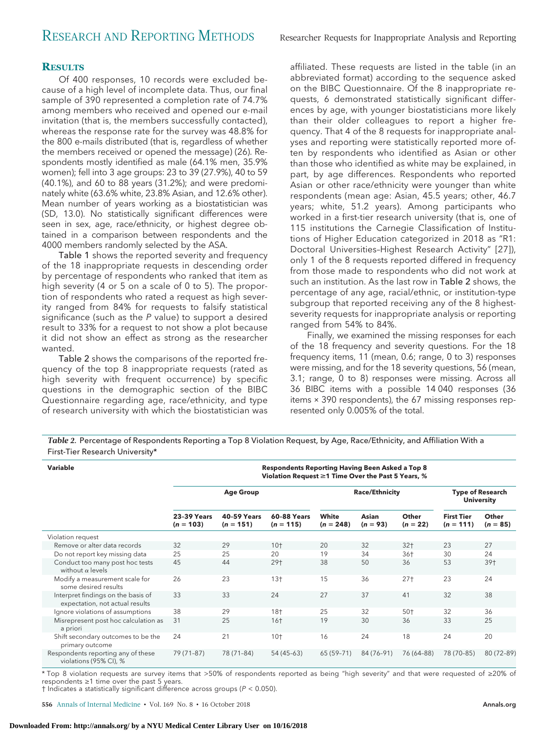# **RESULTS**

Of 400 responses, 10 records were excluded because of a high level of incomplete data. Thus, our final sample of 390 represented a completion rate of 74.7% among members who received and opened our e-mail invitation (that is, the members successfully contacted), whereas the response rate for the survey was 48.8% for the 800 e-mails distributed (that is, regardless of whether the members received or opened the message) (26). Respondents mostly identified as male (64.1% men, 35.9% women); fell into 3 age groups: 23 to 39 (27.9%), 40 to 59 (40.1%), and 60 to 88 years (31.2%); and were predominately white (63.6% white, 23.8% Asian, and 12.6% other). Mean number of years working as a biostatistician was (SD, 13.0). No statistically significant differences were seen in sex, age, race/ethnicity, or highest degree obtained in a comparison between respondents and the 4000 members randomly selected by the ASA.

Table 1 shows the reported severity and frequency of the 18 inappropriate requests in descending order by percentage of respondents who ranked that item as high severity (4 or 5 on a scale of 0 to 5). The proportion of respondents who rated a request as high severity ranged from 84% for requests to falsify statistical significance (such as the  $P$  value) to support a desired result to 33% for a request to not show a plot because it did not show an effect as strong as the researcher wanted.

Table 2 shows the comparisons of the reported frequency of the top 8 inappropriate requests (rated as high severity with frequent occurrence) by specific questions in the demographic section of the BIBC Questionnaire regarding age, race/ethnicity, and type of research university with which the biostatistician was

affiliated. These requests are listed in the table (in an abbreviated format) according to the sequence asked on the BIBC Questionnaire. Of the 8 inappropriate requests, 6 demonstrated statistically significant differences by age, with younger biostatisticians more likely than their older colleagues to report a higher frequency. That 4 of the 8 requests for inappropriate analyses and reporting were statistically reported more often by respondents who identified as Asian or other than those who identified as white may be explained, in part, by age differences. Respondents who reported Asian or other race/ethnicity were younger than white respondents (mean age: Asian, 45.5 years; other, 46.7 years; white, 51.2 years). Among participants who worked in a first-tier research university (that is, one of 115 institutions the Carnegie Classification of Institutions of Higher Education categorized in 2018 as "R1: Doctoral Universities–Highest Research Activity" [27]), only 1 of the 8 requests reported differed in frequency from those made to respondents who did not work at such an institution. As the last row in Table 2 shows, the percentage of any age, racial/ethnic, or institution-type subgroup that reported receiving any of the 8 highestseverity requests for inappropriate analysis or reporting ranged from 54% to 84%.

Finally, we examined the missing responses for each of the 18 frequency and severity questions. For the 18 frequency items, 11 (mean, 0.6; range, 0 to 3) responses were missing, and for the 18 severity questions, 56 (mean, 3.1; range, 0 to 8) responses were missing. Across all 36 BIBC items with a possible 14 040 responses (36 items × 390 respondents), the 67 missing responses represented only 0.005% of the total.

*Table 2.* Percentage of Respondents Reporting a Top 8 Violation Request, by Age, Race/Ethnicity, and Affiliation With a First-Tier Research University\*

| Variable                                                              | <b>Respondents Reporting Having Been Asked a Top 8</b><br>Violation Request ≥1 Time Over the Past 5 Years, % |                                   |                                   |                       |                     |                     |                                              |                     |
|-----------------------------------------------------------------------|--------------------------------------------------------------------------------------------------------------|-----------------------------------|-----------------------------------|-----------------------|---------------------|---------------------|----------------------------------------------|---------------------|
|                                                                       | <b>Age Group</b>                                                                                             |                                   |                                   | <b>Race/Ethnicity</b> |                     |                     | <b>Type of Research</b><br><b>University</b> |                     |
|                                                                       | <b>23-39 Years</b><br>$(n = 103)$                                                                            | <b>40-59 Years</b><br>$(n = 151)$ | <b>60-88 Years</b><br>$(n = 115)$ | White<br>$(n = 248)$  | Asian<br>$(n = 93)$ | Other<br>$(n = 22)$ | <b>First Tier</b><br>$(n = 111)$             | Other<br>$(n = 85)$ |
| Violation request                                                     |                                                                                                              |                                   |                                   |                       |                     |                     |                                              |                     |
| Remove or alter data records                                          | 32                                                                                                           | 29                                | $10+$                             | 20                    | 32                  | $32+$               | 23                                           | 27                  |
| Do not report key missing data                                        | 25                                                                                                           | 25                                | 20                                | 19                    | 34                  | 36†                 | 30                                           | 24                  |
| Conduct too many post hoc tests<br>without $\alpha$ levels            | 45                                                                                                           | 44                                | 29+                               | 38                    | 50                  | 36                  | 53                                           | 39+                 |
| Modify a measurement scale for<br>some desired results                | 26                                                                                                           | 23                                | $13+$                             | 15                    | 36                  | $27+$               | 23                                           | 24                  |
| Interpret findings on the basis of<br>expectation, not actual results | 33                                                                                                           | 33                                | 24                                | 27                    | 37                  | 41                  | 32                                           | 38                  |
| Ignore violations of assumptions                                      | 38                                                                                                           | 29                                | $18+$                             | 25                    | 32                  | $50+$               | 32                                           | 36                  |
| Misrepresent post hoc calculation as<br>a priori                      | 31                                                                                                           | 25                                | $16+$                             | 19                    | 30                  | 36                  | 33                                           | 25                  |
| Shift secondary outcomes to be the<br>primary outcome                 | 24                                                                                                           | 21                                | $10+$                             | 16                    | 24                  | 18                  | 24                                           | 20                  |
| Respondents reporting any of these<br>violations (95% CI), %          | 79 (71-87)                                                                                                   | 78 (71-84)                        | 54 (45-63)                        | 65 (59-71)            | 84 (76-91)          | 76 (64-88)          | 78 (70-85)                                   | 80 (72-89)          |

\* Top 8 violation requests are survey items that >50% of respondents reported as being "high severity" and that were requested of ≥20% of respondents ≥1 time over the past 5 years.

† Indicates a statistically significant difference across groups (P < 0.050).

**556** Annals of Internal Medicine • Vol. 169 No. 8 • 16 October 2018 **[Annals.org](http://www.annals.org) Annals.org**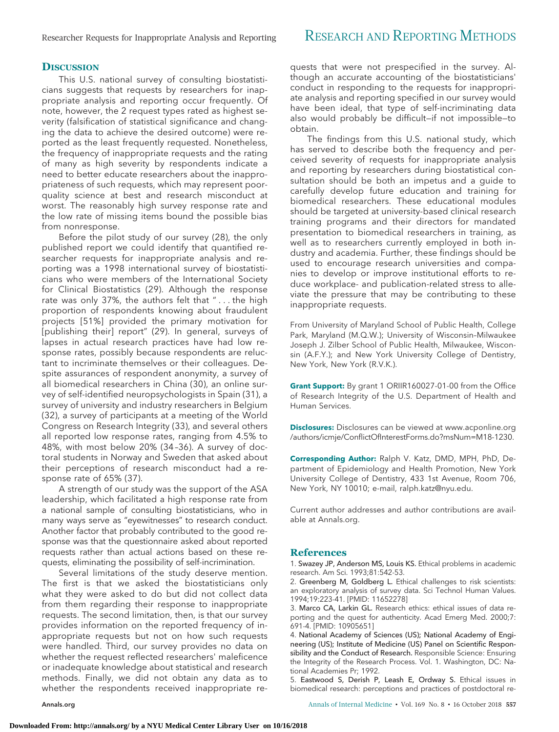# Researcher Requests for Inappropriate Analysis and Reporting RESEARCH AND REPORTING METHODS

# **DISCUSSION**

This U.S. national survey of consulting biostatisticians suggests that requests by researchers for inappropriate analysis and reporting occur frequently. Of note, however, the 2 request types rated as highest severity (falsification of statistical significance and changing the data to achieve the desired outcome) were reported as the least frequently requested. Nonetheless, the frequency of inappropriate requests and the rating of many as high severity by respondents indicate a need to better educate researchers about the inappropriateness of such requests, which may represent poorquality science at best and research misconduct at worst. The reasonably high survey response rate and the low rate of missing items bound the possible bias from nonresponse.

Before the pilot study of our survey (28), the only published report we could identify that quantified researcher requests for inappropriate analysis and reporting was a 1998 international survey of biostatisticians who were members of the International Society for Clinical Biostatistics (29). Although the response rate was only 37%, the authors felt that " . . . the high proportion of respondents knowing about fraudulent projects [51%] provided the primary motivation for [publishing their] report" (29). In general, surveys of lapses in actual research practices have had low response rates, possibly because respondents are reluctant to incriminate themselves or their colleagues. Despite assurances of respondent anonymity, a survey of all biomedical researchers in China (30), an online survey of self-identified neuropsychologists in Spain (31), a survey of university and industry researchers in Belgium (32), a survey of participants at a meeting of the World Congress on Research Integrity (33), and several others all reported low response rates, ranging from 4.5% to 48%, with most below 20% (34 –36). A survey of doctoral students in Norway and Sweden that asked about their perceptions of research misconduct had a response rate of 65% (37).

A strength of our study was the support of the ASA leadership, which facilitated a high response rate from a national sample of consulting biostatisticians, who in many ways serve as "eyewitnesses" to research conduct. Another factor that probably contributed to the good response was that the questionnaire asked about reported requests rather than actual actions based on these requests, eliminating the possibility of self-incrimination.

Several limitations of the study deserve mention. The first is that we asked the biostatisticians only what they were asked to do but did not collect data from them regarding their response to inappropriate requests. The second limitation, then, is that our survey provides information on the reported frequency of inappropriate requests but not on how such requests were handled. Third, our survey provides no data on whether the request reflected researchers' maleficence or inadequate knowledge about statistical and research methods. Finally, we did not obtain any data as to whether the respondents received inappropriate re-

quests that were not prespecified in the survey. Although an accurate accounting of the biostatisticians' conduct in responding to the requests for inappropriate analysis and reporting specified in our survey would have been ideal, that type of self-incriminating data also would probably be difficult—if not impossible—to obtain.

The findings from this U.S. national study, which has served to describe both the frequency and perceived severity of requests for inappropriate analysis and reporting by researchers during biostatistical consultation should be both an impetus and a guide to carefully develop future education and training for biomedical researchers. These educational modules should be targeted at university-based clinical research training programs and their directors for mandated presentation to biomedical researchers in training, as well as to researchers currently employed in both industry and academia. Further, these findings should be used to encourage research universities and companies to develop or improve institutional efforts to reduce workplace- and publication-related stress to alleviate the pressure that may be contributing to these inappropriate requests.

From University of Maryland School of Public Health, College Park, Maryland (M.Q.W.); University of Wisconsin–Milwaukee Joseph J. Zilber School of Public Health, Milwaukee, Wisconsin (A.F.Y.); and New York University College of Dentistry, New York, New York (R.V.K.).

**Grant Support:** By grant 1 ORIIR160027-01-00 from the Office of Research Integrity of the U.S. Department of Health and Human Services.

**Disclosures:** Disclosures can be viewed at [www.acponline.org](http://www.acponline.org/authors/icmje/ConflictOfInterestForms.do?msNum=M18-1230) [/authors/icmje/ConflictOfInterestForms.do?msNum=M18-1230.](http://www.acponline.org/authors/icmje/ConflictOfInterestForms.do?msNum=M18-1230)

**Corresponding Author:** Ralph V. Katz, DMD, MPH, PhD, Department of Epidemiology and Health Promotion, New York University College of Dentistry, 433 1st Avenue, Room 706, New York, NY 10010; e-mail, [ralph.katz@nyu.edu.](mailto:ralph.katz@nyu.edu)

Current author addresses and author contributions are available at [Annals.org.](http://www.annals.org)

## **References**

1. Swazey JP, Anderson MS, Louis KS. Ethical problems in academic research. Am Sci. 1993;81:542-53.

2. Greenberg M, Goldberg L. Ethical challenges to risk scientists: an exploratory analysis of survey data. Sci Technol Human Values. 1994;19:223-41. [PMID: 11652278]

3. Marco CA, Larkin GL. Research ethics: ethical issues of data reporting and the quest for authenticity. Acad Emerg Med. 2000;7: 691-4. [PMID: 10905651]

4. National Academy of Sciences (US); National Academy of Engineering (US); Institute of Medicine (US) Panel on Scientific Responsibility and the Conduct of Research. Responsible Science: Ensuring the Integrity of the Research Process. Vol. 1. Washington, DC: National Academies Pr; 1992.

5. Eastwood S, Derish P, Leash E, Ordway S. Ethical issues in biomedical research: perceptions and practices of postdoctoral re-

[Annals.org](http://www.annals.org) Annals of Internal Medicine • Vol. 169 No. 8 • 16 October 2018 **557**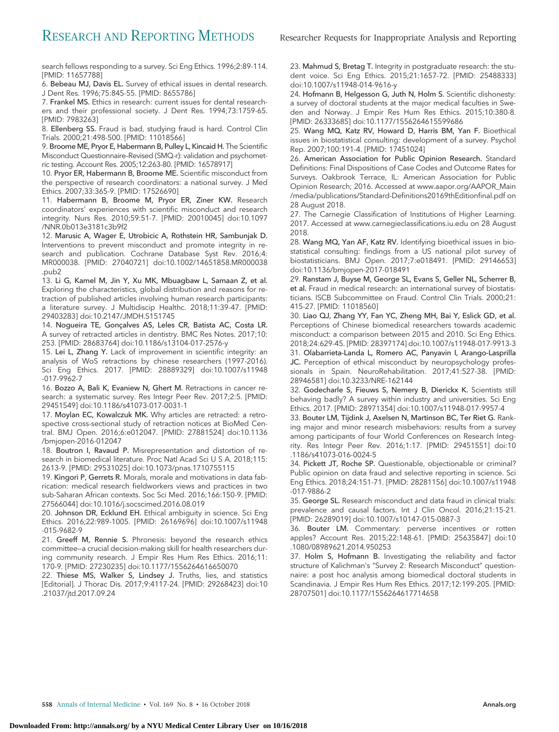search fellows responding to a survey. Sci Eng Ethics. 1996;2:89-114. [PMID: 11657788]

6. Bebeau MJ, Davis EL. Survey of ethical issues in dental research. J Dent Res. 1996;75:845-55. [PMID: 8655786]

7. Frankel MS. Ethics in research: current issues for dental researchers and their professional society. J Dent Res. 1994;73:1759-65. [PMID: 7983263]

8. Ellenberg SS. Fraud is bad, studying fraud is hard. Control Clin Trials. 2000;21:498-500. [PMID: 11018566]

9. Broome ME, Pryor E, Habermann B, Pulley L, Kincaid H. The Scientific Misconduct Questionnaire–Revised (SMQ-r): validation and psychometric testing. Account Res. 2005;12:263-80. [PMID: 16578917]

10. Pryor ER, Habermann B, Broome ME. Scientific misconduct from the perspective of research coordinators: a national survey. J Med Ethics. 2007;33:365-9. [PMID: 17526690]

11. Habermann B, Broome M, Pryor ER, Ziner KW. Research coordinators' experiences with scientific misconduct and research integrity. Nurs Res. 2010;59:51-7. [PMID: 20010045] doi:10.1097 /NNR.0b013e3181c3b9f2

12. Marusic A, Wager E, Utrobicic A, Rothstein HR, Sambunjak D. Interventions to prevent misconduct and promote integrity in research and publication. Cochrane Database Syst Rev. 2016;4: MR000038. [PMID: 27040721] doi:10.1002/14651858.MR000038 .pub2

13. Li G, Kamel M, Jin Y, Xu MK, Mbuagbaw L, Samaan Z, et al. Exploring the characteristics, global distribution and reasons for retraction of published articles involving human research participants: a literature survey. J Multidiscip Healthc. 2018;11:39-47. [PMID: 29403283] doi:10.2147/JMDH.S151745

14. Nogueira TE, Gonçalves AS, Leles CR, Batista AC, Costa LR. A survey of retracted articles in dentistry. BMC Res Notes. 2017;10: 253. [PMID: 28683764] doi:10.1186/s13104-017-2576-y

15. Lei L, Zhang Y. Lack of improvement in scientific integrity: an analysis of WoS retractions by chinese researchers (1997-2016). Sci Eng Ethics. 2017. [PMID: 28889329] doi:10.1007/s11948 -017-9962-7

16. Bozzo A, Bali K, Evaniew N, Ghert M. Retractions in cancer research: a systematic survey. Res Integr Peer Rev. 2017;2:5. [PMID: 29451549] doi:10.1186/s41073-017-0031-1

17. Moylan EC, Kowalczuk MK. Why articles are retracted: a retrospective cross-sectional study of retraction notices at BioMed Central. BMJ Open. 2016;6:e012047. [PMID: 27881524] doi:10.1136 /bmjopen-2016-012047

18. Boutron I, Ravaud P. Misrepresentation and distortion of research in biomedical literature. Proc Natl Acad Sci U S A. 2018;115: 2613-9. [PMID: 29531025] doi:10.1073/pnas.1710755115

19. Kingori P, Gerrets R. Morals, morale and motivations in data fabrication: medical research fieldworkers views and practices in two sub-Saharan African contexts. Soc Sci Med. 2016;166:150-9. [PMID: 27566044] doi:10.1016/j.socscimed.2016.08.019

20. Johnson DR, Ecklund EH. Ethical ambiguity in science. Sci Eng Ethics. 2016;22:989-1005. [PMID: 26169696] doi:10.1007/s11948 -015-9682-9

21. Greeff M, Rennie S. Phronesis: beyond the research ethics committee—a crucial decision-making skill for health researchers during community research. J Empir Res Hum Res Ethics. 2016;11: 170-9. [PMID: 27230235] doi:10.1177/1556264616650070

22. Thiese MS, Walker S, Lindsey J. Truths, lies, and statistics [Editorial]. J Thorac Dis. 2017;9:4117-24. [PMID: 29268423] doi:10 .21037/jtd.2017.09.24

23. Mahmud S, Bretag T. Integrity in postgraduate research: the student voice. Sci Eng Ethics. 2015;21:1657-72. [PMID: 25488333] doi:10.1007/s11948-014-9616-y

24. Hofmann B, Helgesson G, Juth N, Holm S. Scientific dishonesty: a survey of doctoral students at the major medical faculties in Sweden and Norway. J Empir Res Hum Res Ethics. 2015;10:380-8. [PMID: 26333685] doi:10.1177/1556264615599686

25. Wang MQ, Katz RV, Howard D, Harris BM, Yan F. Bioethical issues in biostatistical consulting: development of a survey. Psychol Rep. 2007;100:191-4. [PMID: 17451024]

26. American Association for Public Opinion Research. Standard Definitions: Final Dispositions of Case Codes and Outcome Rates for Surveys. Oakbrook Terrace, IL: American Association for Public Opinion Research; 2016. Accessed at [www.aapor.org/AAPOR\\_Main](http://www.aapor.org/AAPOR_Main/media/publications/Standard-Definitions20169thEditionfinal.pdf) [/media/publications/Standard-Definitions20169thEditionfinal.pdf](http://www.aapor.org/AAPOR_Main/media/publications/Standard-Definitions20169thEditionfinal.pdf) on 28 August 2018.

27. The Carnegie Classification of Institutions of Higher Learning. 2017. Accessed at [www.carnegieclassifications.iu.edu](http://www.carnegieclassifications.iu.edu) on 28 August 2018.

28. Wang MQ, Yan AF, Katz RV. Identifying bioethical issues in biostatistical consulting: findings from a US national pilot survey of biostatisticians. BMJ Open. 2017;7:e018491. [PMID: 29146653] doi:10.1136/bmjopen-2017-018491

29. Ranstam J, Buyse M, George SL, Evans S, Geller NL, Scherrer B, et al. Fraud in medical research: an international survey of biostatisticians. ISCB Subcommittee on Fraud. Control Clin Trials. 2000;21: 415-27. [PMID: 11018560]

30. Liao QJ, Zhang YY, Fan YC, Zheng MH, Bai Y, Eslick GD, et al. Perceptions of Chinese biomedical researchers towards academic misconduct: a comparison between 2015 and 2010. Sci Eng Ethics. 2018;24:629-45. [PMID: 28397174] doi:10.1007/s11948-017-9913-3

31. Olabarrieta-Landa L, Romero AC, Panyavin I, Arango-Lasprilla JC. Perception of ethical misconduct by neuropsychology professionals in Spain. NeuroRehabilitation. 2017;41:527-38. [PMID: 28946581] doi:10.3233/NRE-162144

32. Godecharle S, Fieuws S, Nemery B, Dierickx K. Scientists still behaving badly? A survey within industry and universities. Sci Eng Ethics. 2017. [PMID: 28971354] doi:10.1007/s11948-017-9957-4

33. Bouter LM, Tijdink J, Axelsen N, Martinson BC, Ter Riet G. Ranking major and minor research misbehaviors: results from a survey among participants of four World Conferences on Research Integrity. Res Integr Peer Rev. 2016;1:17. [PMID: 29451551] doi:10 .1186/s41073-016-0024-5

34. Pickett JT, Roche SP. Questionable, objectionable or criminal? Public opinion on data fraud and selective reporting in science. Sci Eng Ethics. 2018;24:151-71. [PMID: 28281156] doi:10.1007/s11948 -017-9886-2

35. George SL. Research misconduct and data fraud in clinical trials: prevalence and causal factors. Int J Clin Oncol. 2016;21:15-21. [PMID: 26289019] doi:10.1007/s10147-015-0887-3

36. Bouter LM. Commentary: perverse incentives or rotten apples? Account Res. 2015;22:148-61. [PMID: 25635847] doi:10 .1080/08989621.2014.950253

37. Holm S, Hofmann B. Investigating the reliability and factor structure of Kalichman's "Survey 2: Research Misconduct" questionnaire: a post hoc analysis among biomedical doctoral students in Scandinavia. J Empir Res Hum Res Ethics. 2017;12:199-205. [PMID: 28707501] doi:10.1177/1556264617714658